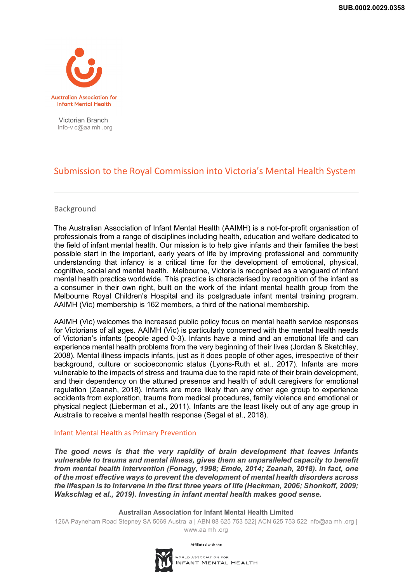

Victorian Branch Info-v c@aa mh .org

# Submission to the Royal Commission into Victoria's Mental Health System

## Background

The Australian Association of Infant Mental Health (AAIMH) is a not-for-profit organisation of professionals from a range of disciplines including health, education and welfare dedicated to the field of infant mental health. Our mission is to help give infants and their families the best possible start in the important, early years of life by improving professional and community understanding that infancy is a critical time for the development of emotional, physical, cognitive, social and mental health. Melbourne, Victoria is recognised as a vanguard of infant mental health practice worldwide. This practice is characterised by recognition of the infant as a consumer in their own right, built on the work of the infant mental health group from the Melbourne Royal Children's Hospital and its postgraduate infant mental training program. AAIMH (Vic) membership is 162 members, a third of the national membership.

AAIMH (Vic) welcomes the increased public policy focus on mental health service responses for Victorians of all ages. AAIMH (Vic) is particularly concerned with the mental health needs of Victorian's infants (people aged 0-3). Infants have a mind and an emotional life and can experience mental health problems from the very beginning of their lives (Jordan & Sketchley, 2008). Mental illness impacts infants, just as it does people of other ages, irrespective of their background, culture or socioeconomic status (Lyons-Ruth et al., 2017). Infants are more vulnerable to the impacts of stress and trauma due to the rapid rate of their brain development, and their dependency on the attuned presence and health of adult caregivers for emotional regulation (Zeanah, 2018). Infants are more likely than any other age group to experience accidents from exploration, trauma from medical procedures, family violence and emotional or physical neglect (Lieberman et al., 2011). Infants are the least likely out of any age group in Australia to receive a mental health response (Segal et al., 2018).

### Infant Mental Health as Primary Prevention

*The good news is that the very rapidity of brain development that leaves infants vulnerable to trauma and mental illness, gives them an unparalleled capacity to benefit from mental health intervention (Fonagy, 1998; Emde, 2014; Zeanah, 2018). In fact, one of the most effective ways to prevent the development of mental health disorders across the lifespan is to intervene in the first three years of life (Heckman, 2006; Shonkoff, 2009; Wakschlag et al., 2019). Investing in infant mental health makes good sense.* 

#### **Australian Association for Infant Mental Health Limited**

126A Payneham Road Stepney SA 5069 Austra a | ABN 88 625 753 522| ACN 625 753 522 nfo@aa mh .org | www.aa mh .org



Affiliated with the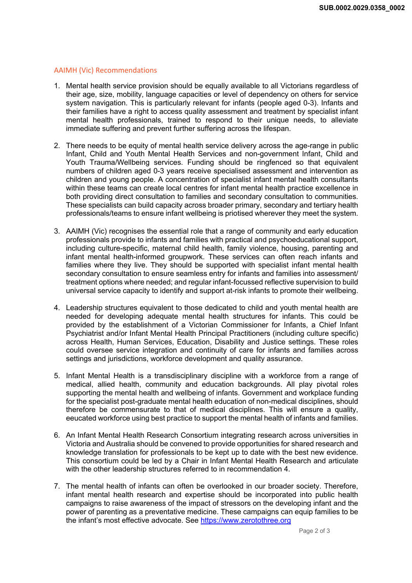#### AAIMH (Vic) Recommendations

- 1. Mental health service provision should be equally available to all Victorians regardless of their age, size, mobility, language capacities or level of dependency on others for service system navigation. This is particularly relevant for infants (people aged 0-3). Infants and their families have a right to access quality assessment and treatment by specialist infant mental health professionals, trained to respond to their unique needs, to alleviate immediate suffering and prevent further suffering across the lifespan.
- 2. There needs to be equity of mental health service delivery across the age-range in public Infant, Child and Youth Mental Health Services and non-government Infant, Child and Youth Trauma/Wellbeing services. Funding should be ringfenced so that equivalent numbers of children aged 0-3 years receive specialised assessment and intervention as children and young people. A concentration of specialist infant mental health consultants within these teams can create local centres for infant mental health practice excellence in both providing direct consultation to families and secondary consultation to communities. These specialists can build capacity across broader primary, secondary and tertiary health professionals/teams to ensure infant wellbeing is priotised wherever they meet the system.
- 3. AAIMH (Vic) recognises the essential role that a range of community and early education professionals provide to infants and families with practical and psychoeducational support, including culture-specific, maternal child health, family violence, housing, parenting and infant mental health-informed groupwork. These services can often reach infants and families where they live. They should be supported with specialist infant mental health secondary consultation to ensure seamless entry for infants and families into assessment/ treatment options where needed; and regular infant-focussed reflective supervision to build universal service capacity to identify and support at-risk infants to promote their wellbeing.
- 4. Leadership structures equivalent to those dedicated to child and youth mental health are needed for developing adequate mental health structures for infants. This could be provided by the establishment of a Victorian Commissioner for Infants, a Chief Infant Psychiatrist and/or Infant Mental Health Principal Practitioners (including culture specific) across Health, Human Services, Education, Disability and Justice settings. These roles could oversee service integration and continuity of care for infants and families across settings and jurisdictions, workforce development and quality assurance.
- 5. Infant Mental Health is a transdisciplinary discipline with a workforce from a range of medical, allied health, community and education backgrounds. All play pivotal roles supporting the mental health and wellbeing of infants. Government and workplace funding for the specialist post-graduate mental health education of non-medical disciplines, should therefore be commensurate to that of medical disciplines. This will ensure a quality, eeucated workforce using best practice to support the mental health of infants and families.
- 6. An Infant Mental Health Research Consortium integrating research across universities in Victoria and Australia should be convened to provide opportunities for shared research and knowledge translation for professionals to be kept up to date with the best new evidence. This consortium could be led by a Chair in Infant Mental Health Research and articulate with the other leadership structures referred to in recommendation 4.
- 7. The mental health of infants can often be overlooked in our broader society. Therefore, infant mental health research and expertise should be incorporated into public health campaigns to raise awareness of the impact of stressors on the developing infant and the power of parenting as a preventative medicine. These campaigns can equip families to be the infant's most effective advocate. See https://www.zerotothree.org